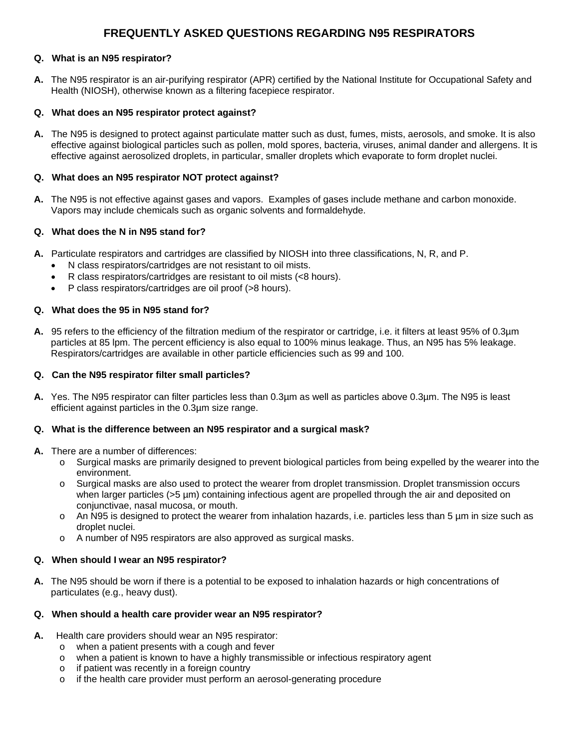# **FREQUENTLY ASKED QUESTIONS REGARDING N95 RESPIRATORS**

# **Q. What is an N95 respirator?**

**A.** The N95 respirator is an air-purifying respirator (APR) certified by the National Institute for Occupational Safety and Health (NIOSH), otherwise known as a filtering facepiece respirator.

# **Q. What does an N95 respirator protect against?**

**A.** The N95 is designed to protect against particulate matter such as dust, fumes, mists, aerosols, and smoke. It is also effective against biological particles such as pollen, mold spores, bacteria, viruses, animal dander and allergens. It is effective against aerosolized droplets, in particular, smaller droplets which evaporate to form droplet nuclei.

# **Q. What does an N95 respirator NOT protect against?**

**A.** The N95 is not effective against gases and vapors. Examples of gases include methane and carbon monoxide. Vapors may include chemicals such as organic solvents and formaldehyde.

# **Q. What does the N in N95 stand for?**

- **A.** Particulate respirators and cartridges are classified by NIOSH into three classifications, N, R, and P.
	- N class respirators/cartridges are not resistant to oil mists.
	- R class respirators/cartridges are resistant to oil mists (<8 hours).
	- P class respirators/cartridges are oil proof (>8 hours).

## **Q. What does the 95 in N95 stand for?**

**A.** 95 refers to the efficiency of the filtration medium of the respirator or cartridge, i.e. it filters at least 95% of 0.3µm particles at 85 lpm. The percent efficiency is also equal to 100% minus leakage. Thus, an N95 has 5% leakage. Respirators/cartridges are available in other particle efficiencies such as 99 and 100.

## **Q. Can the N95 respirator filter small particles?**

**A.** Yes. The N95 respirator can filter particles less than 0.3µm as well as particles above 0.3µm. The N95 is least efficient against particles in the 0.3µm size range.

## **Q. What is the difference between an N95 respirator and a surgical mask?**

- **A.** There are a number of differences:
	- o Surgical masks are primarily designed to prevent biological particles from being expelled by the wearer into the environment.
	- o Surgical masks are also used to protect the wearer from droplet transmission. Droplet transmission occurs when larger particles (>5 µm) containing infectious agent are propelled through the air and deposited on conjunctivae, nasal mucosa, or mouth.
	- $\circ$  An N95 is designed to protect the wearer from inhalation hazards, i.e. particles less than 5  $\mu$ m in size such as droplet nuclei.
	- o A number of N95 respirators are also approved as surgical masks.

## **Q. When should I wear an N95 respirator?**

**A.** The N95 should be worn if there is a potential to be exposed to inhalation hazards or high concentrations of particulates (e.g., heavy dust).

## **Q. When should a health care provider wear an N95 respirator?**

- **A.** Health care providers should wear an N95 respirator:
	- o when a patient presents with a cough and fever
	- $\circ$  when a patient is known to have a highly transmissible or infectious respiratory agent  $\circ$  if patient was recently in a foreign country
	- if patient was recently in a foreign country
	- o if the health care provider must perform an aerosol-generating procedure